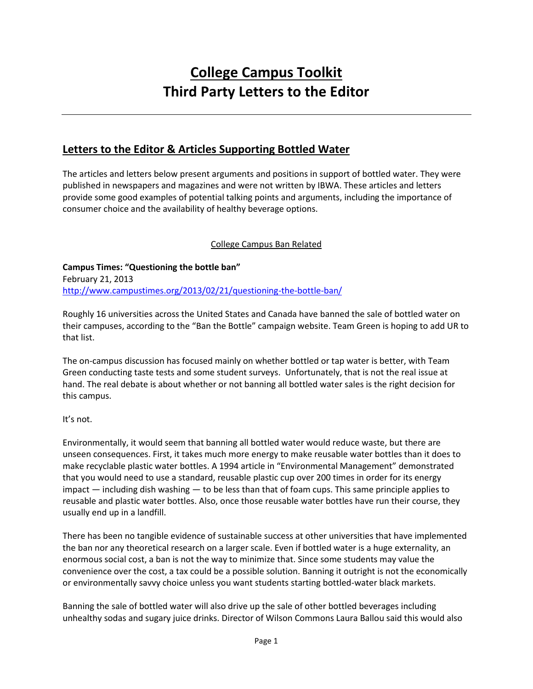# **College Campus Toolkit Third Party Letters to the Editor**

# **Letters to the Editor & Articles Supporting Bottled Water**

The articles and letters below present arguments and positions in support of bottled water. They were published in newspapers and magazines and were not written by IBWA. These articles and letters provide some good examples of potential talking points and arguments, including the importance of consumer choice and the availability of healthy beverage options.

### College Campus Ban Related

**Campus Times: "Questioning the bottle ban"** February 21, 2013 <http://www.campustimes.org/2013/02/21/questioning-the-bottle-ban/>

Roughly 16 universities across the United States and Canada have banned the sale of bottled water on their campuses, according to the "Ban the Bottle" campaign website. Team Green is hoping to add UR to that list.

The on-campus discussion has focused mainly on whether bottled or tap water is better, with Team Green conducting taste tests and some student surveys. Unfortunately, that is not the real issue at hand. The real debate is about whether or not banning all bottled water sales is the right decision for this campus.

It's not.

Environmentally, it would seem that banning all bottled water would reduce waste, but there are unseen consequences. First, it takes much more energy to make reusable water bottles than it does to make recyclable plastic water bottles. A 1994 article in "Environmental Management" demonstrated that you would need to use a standard, reusable plastic cup over 200 times in order for its energy impact  $-$  including dish washing  $-$  to be less than that of foam cups. This same principle applies to reusable and plastic water bottles. Also, once those reusable water bottles have run their course, they usually end up in a landfill.

There has been no tangible evidence of sustainable success at other universities that have implemented the ban nor any theoretical research on a larger scale. Even if bottled water is a huge externality, an enormous social cost, a ban is not the way to minimize that. Since some students may value the convenience over the cost, a tax could be a possible solution. Banning it outright is not the economically or environmentally savvy choice unless you want students starting bottled-water black markets.

Banning the sale of bottled water will also drive up the sale of other bottled beverages including unhealthy sodas and sugary juice drinks. Director of Wilson Commons Laura Ballou said this would also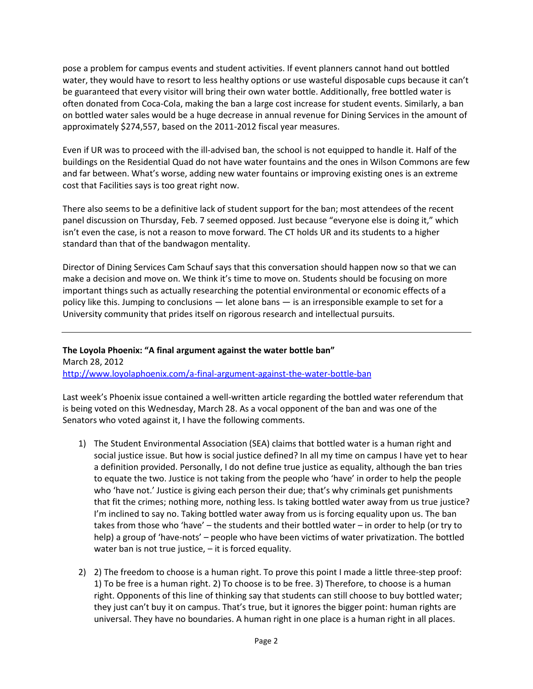pose a problem for campus events and student activities. If event planners cannot hand out bottled water, they would have to resort to less healthy options or use wasteful disposable cups because it can't be guaranteed that every visitor will bring their own water bottle. Additionally, free bottled water is often donated from Coca-Cola, making the ban a large cost increase for student events. Similarly, a ban on bottled water sales would be a huge decrease in annual revenue for Dining Services in the amount of approximately \$274,557, based on the 2011-2012 fiscal year measures.

Even if UR was to proceed with the ill-advised ban, the school is not equipped to handle it. Half of the buildings on the Residential Quad do not have water fountains and the ones in Wilson Commons are few and far between. What's worse, adding new water fountains or improving existing ones is an extreme cost that Facilities says is too great right now.

There also seems to be a definitive lack of student support for the ban; most attendees of the recent panel discussion on Thursday, Feb. 7 seemed opposed. Just because "everyone else is doing it," which isn't even the case, is not a reason to move forward. The CT holds UR and its students to a higher standard than that of the bandwagon mentality.

Director of Dining Services Cam Schauf says that this conversation should happen now so that we can make a decision and move on. We think it's time to move on. Students should be focusing on more important things such as actually researching the potential environmental or economic effects of a policy like this. Jumping to conclusions — let alone bans — is an irresponsible example to set for a University community that prides itself on rigorous research and intellectual pursuits.

**The Loyola Phoenix: "A final argument against the water bottle ban"** March 28, 2012 <http://www.loyolaphoenix.com/a-final-argument-against-the-water-bottle-ban>

Last week's Phoenix issue contained a well-written article regarding the bottled water referendum that is being voted on this Wednesday, March 28. As a vocal opponent of the ban and was one of the Senators who voted against it, I have the following comments.

- 1) The Student Environmental Association (SEA) claims that bottled water is a human right and social justice issue. But how is social justice defined? In all my time on campus I have yet to hear a definition provided. Personally, I do not define true justice as equality, although the ban tries to equate the two. Justice is not taking from the people who 'have' in order to help the people who 'have not.' Justice is giving each person their due; that's why criminals get punishments that fit the crimes; nothing more, nothing less. Is taking bottled water away from us true justice? I'm inclined to say no. Taking bottled water away from us is forcing equality upon us. The ban takes from those who 'have' – the students and their bottled water – in order to help (or try to help) a group of 'have-nots' – people who have been victims of water privatization. The bottled water ban is not true justice, – it is forced equality.
- 2) 2) The freedom to choose is a human right. To prove this point I made a little three-step proof: 1) To be free is a human right. 2) To choose is to be free. 3) Therefore, to choose is a human right. Opponents of this line of thinking say that students can still choose to buy bottled water; they just can't buy it on campus. That's true, but it ignores the bigger point: human rights are universal. They have no boundaries. A human right in one place is a human right in all places.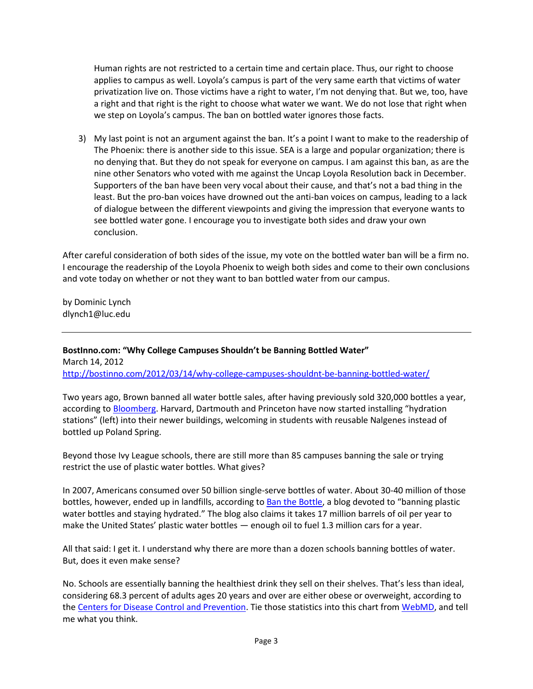Human rights are not restricted to a certain time and certain place. Thus, our right to choose applies to campus as well. Loyola's campus is part of the very same earth that victims of water privatization live on. Those victims have a right to water, I'm not denying that. But we, too, have a right and that right is the right to choose what water we want. We do not lose that right when we step on Loyola's campus. The ban on bottled water ignores those facts.

3) My last point is not an argument against the ban. It's a point I want to make to the readership of The Phoenix: there is another side to this issue. SEA is a large and popular organization; there is no denying that. But they do not speak for everyone on campus. I am against this ban, as are the nine other Senators who voted with me against the Uncap Loyola Resolution back in December. Supporters of the ban have been very vocal about their cause, and that's not a bad thing in the least. But the pro-ban voices have drowned out the anti-ban voices on campus, leading to a lack of dialogue between the different viewpoints and giving the impression that everyone wants to see bottled water gone. I encourage you to investigate both sides and draw your own conclusion.

After careful consideration of both sides of the issue, my vote on the bottled water ban will be a firm no. I encourage the readership of the Loyola Phoenix to weigh both sides and come to their own conclusions and vote today on whether or not they want to ban bottled water from our campus.

by Dominic Lynch dlynch1@luc.edu

**BostInno.com: "Why College Campuses Shouldn't be Banning Bottled Water"** March 14, 2012 <http://bostinno.com/2012/03/14/why-college-campuses-shouldnt-be-banning-bottled-water/>

Two years ago, Brown banned all water bottle sales, after having previously sold 320,000 bottles a year, according to [Bloomberg.](http://www.bloomberg.com/news/2012-03-07/ivy-colleges-shunning-bottled-water-jab-at-22-billion-industry.html) Harvard, Dartmouth and Princeton have now started installing "hydration stations" (left) into their newer buildings, welcoming in students with reusable Nalgenes instead of bottled up Poland Spring.

Beyond those Ivy League schools, there are still more than 85 campuses banning the sale or trying restrict the use of plastic water bottles. What gives?

In 2007, Americans consumed over 50 billion single-serve bottles of water. About 30-40 million of those bottles, however, ended up in landfills, according to [Ban the Bottle](http://www.banthebottle.net/), a blog devoted to "banning plastic water bottles and staying hydrated." The blog also claims it takes 17 million barrels of oil per year to make the United States' plastic water bottles — enough oil to fuel 1.3 million cars for a year.

All that said: I get it. I understand why there are more than a dozen schools banning bottles of water. But, does it even make sense?

No. Schools are essentially banning the healthiest drink they sell on their shelves. That's less than ideal, considering 68.3 percent of adults ages 20 years and over are either obese or overweight, according to th[e Centers for Disease Control and Prevention.](http://www.cdc.gov/nchs/fastats/overwt.htm) Tie those statistics into this chart fro[m WebMD,](http://www.webmd.com/diet/calories-in-drinks-and-popular-beverages) and tell me what you think.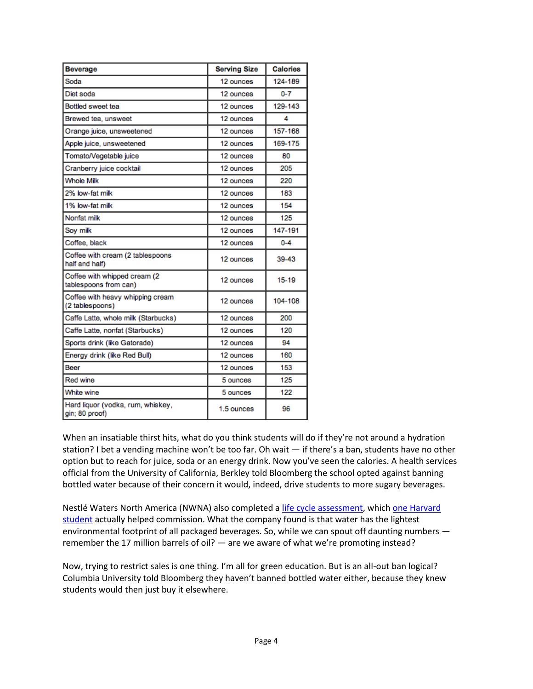| <b>Beverage</b>                                        | <b>Serving Size</b> | <b>Calories</b> |
|--------------------------------------------------------|---------------------|-----------------|
| Soda                                                   | 12 ounces           | 124-189         |
| Diet soda                                              | 12 ounces           | $0 - 7$         |
| Bottled sweet tea                                      | 12 ounces           | 129-143         |
| Brewed tea, unsweet                                    | 12 ounces           | 4               |
| Orange juice, unsweetened                              | 12 ounces           | 157-168         |
| Apple juice, unsweetened                               | 12 ounces           | 169-175         |
| Tomato/Vegetable juice                                 | 12 ounces           | 80              |
| Cranberry juice cocktail                               | 12 ounces           | 205             |
| <b>Whole Milk</b>                                      | 12 ounces           | 220             |
| 2% low-fat milk                                        | 12 ounces           | 183             |
| 1% low-fat milk                                        | 12 ounces           | 154             |
| Nonfat milk                                            | 12 ounces           | 125             |
| Soy milk                                               | 12 ounces           | 147-191         |
| Coffee, black                                          | 12 ounces           | $0 - 4$         |
| Coffee with cream (2 tablespoons<br>half and half)     | 12 ounces           | 39-43           |
| Coffee with whipped cream (2)<br>tablespoons from can) | 12 ounces           | 15-19           |
| Coffee with heavy whipping cream<br>(2 tablespoons)    | 12 ounces           | 104-108         |
| Caffe Latte, whole milk (Starbucks)                    | 12 ounces           | 200             |
| Caffe Latte, nonfat (Starbucks)                        | 12 ounces           | 120             |
| Sports drink (like Gatorade)                           | 12 ounces           | 94              |
| Energy drink (like Red Bull)                           | 12 ounces           | 160             |
| Beer                                                   | 12 ounces           | 153             |
| <b>Red wine</b>                                        | 5 ounces            | 125             |
| White wine                                             | 5 ounces            | 122             |
| Hard liquor (vodka, rum, whiskey,<br>gin; 80 proof)    | 1.5 ounces          | 96              |

When an insatiable thirst hits, what do you think students will do if they're not around a hydration station? I bet a vending machine won't be too far. Oh wait — if there's a ban, students have no other option but to reach for juice, soda or an energy drink. Now you've seen the calories. A health services official from the University of California, Berkley told Bloomberg the school opted against banning bottled water because of their concern it would, indeed, drive students to more sugary beverages.

Nestlé Waters North America (NWNA) also completed a [life cycle assessment,](http://beveragelcafootprint.com/) which one Harvard [student](http://www.thecrimson.com/article/2010/10/21/water-bottled-beverage-people/) actually helped commission. What the company found is that water has the lightest environmental footprint of all packaged beverages. So, while we can spout off daunting numbers remember the 17 million barrels of oil? — are we aware of what we're promoting instead?

Now, trying to restrict sales is one thing. I'm all for green education. But is an all-out ban logical? Columbia University told Bloomberg they haven't banned bottled water either, because they knew students would then just buy it elsewhere.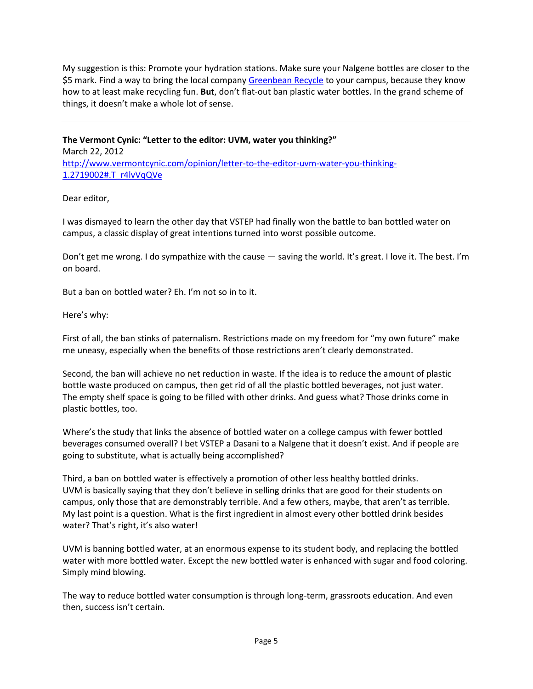My suggestion is this: Promote your hydration stations. Make sure your Nalgene bottles are closer to the \$5 mark. Find a way to bring the local compan[y Greenbean Recycle](http://bostinno.com/2012/03/01/after-turning-trash-into-a-game-at-mit-greenbean-recycle-brings-the-fun-to-tufts/) to your campus, because they know how to at least make recycling fun. **But**, don't flat-out ban plastic water bottles. In the grand scheme of things, it doesn't make a whole lot of sense.

**The Vermont Cynic: "Letter to the editor: UVM, water you thinking?"** March 22, 2012 [http://www.vermontcynic.com/opinion/letter-to-the-editor-uvm-water-you-thinking-](http://www.vermontcynic.com/opinion/letter-to-the-editor-uvm-water-you-thinking-1.2719002#.T_r4lvVqQVe)[1.2719002#.T\\_r4lvVqQVe](http://www.vermontcynic.com/opinion/letter-to-the-editor-uvm-water-you-thinking-1.2719002#.T_r4lvVqQVe)

#### Dear editor,

I was dismayed to learn the other day that VSTEP had finally won the battle to ban bottled water on campus, a classic display of great intentions turned into worst possible outcome.

Don't get me wrong. I do sympathize with the cause — saving the world. It's great. I love it. The best. I'm on board.

But a ban on bottled water? Eh. I'm not so in to it.

Here's why:

First of all, the ban stinks of paternalism. Restrictions made on my freedom for "my own future" make me uneasy, especially when the benefits of those restrictions aren't clearly demonstrated.

Second, the ban will achieve no net reduction in waste. If the idea is to reduce the amount of plastic bottle waste produced on campus, then get rid of all the plastic bottled beverages, not just water. The empty shelf space is going to be filled with other drinks. And guess what? Those drinks come in plastic bottles, too.

Where's the study that links the absence of bottled water on a college campus with fewer bottled beverages consumed overall? I bet VSTEP a Dasani to a Nalgene that it doesn't exist. And if people are going to substitute, what is actually being accomplished?

Third, a ban on bottled water is effectively a promotion of other less healthy bottled drinks. UVM is basically saying that they don't believe in selling drinks that are good for their students on campus, only those that are demonstrably terrible. And a few others, maybe, that aren't as terrible. My last point is a question. What is the first ingredient in almost every other bottled drink besides water? That's right, it's also water!

UVM is banning bottled water, at an enormous expense to its student body, and replacing the bottled water with more bottled water. Except the new bottled water is enhanced with sugar and food coloring. Simply mind blowing.

The way to reduce bottled water consumption is through long-term, grassroots education. And even then, success isn't certain.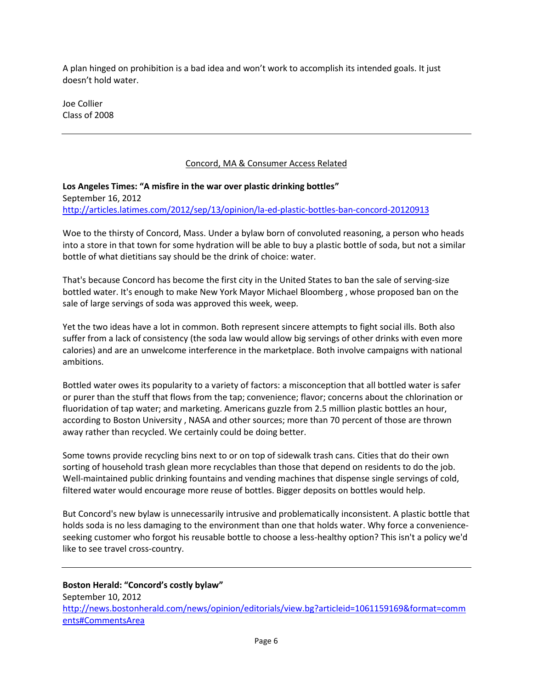A plan hinged on prohibition is a bad idea and won't work to accomplish its intended goals. It just doesn't hold water.

Joe Collier Class of 2008

#### Concord, MA & Consumer Access Related

**Los Angeles Times: "A misfire in the war over plastic drinking bottles"** September 16, 2012 <http://articles.latimes.com/2012/sep/13/opinion/la-ed-plastic-bottles-ban-concord-20120913>

Woe to the thirsty of Concord, Mass. Under a bylaw born of convoluted reasoning, a person who heads into a store in that town for some hydration will be able to buy a plastic bottle of soda, but not a similar bottle of what dietitians say should be the drink of choice: water.

That's because Concord has become the first city in the United States to ban the sale of serving-size bottled water. It's enough to make New York Mayor Michael Bloomberg , whose proposed ban on the sale of large servings of soda was approved this week, weep.

Yet the two ideas have a lot in common. Both represent sincere attempts to fight social ills. Both also suffer from a lack of consistency (the soda law would allow big servings of other drinks with even more calories) and are an unwelcome interference in the marketplace. Both involve campaigns with national ambitions.

Bottled water owes its popularity to a variety of factors: a misconception that all bottled water is safer or purer than the stuff that flows from the tap; convenience; flavor; concerns about the chlorination or fluoridation of tap water; and marketing. Americans guzzle from 2.5 million plastic bottles an hour, according to Boston University , NASA and other sources; more than 70 percent of those are thrown away rather than recycled. We certainly could be doing better.

Some towns provide recycling bins next to or on top of sidewalk trash cans. Cities that do their own sorting of household trash glean more recyclables than those that depend on residents to do the job. Well-maintained public drinking fountains and vending machines that dispense single servings of cold, filtered water would encourage more reuse of bottles. Bigger deposits on bottles would help.

But Concord's new bylaw is unnecessarily intrusive and problematically inconsistent. A plastic bottle that holds soda is no less damaging to the environment than one that holds water. Why force a convenienceseeking customer who forgot his reusable bottle to choose a less-healthy option? This isn't a policy we'd like to see travel cross-country.

**Boston Herald: "Concord's costly bylaw"** September 10, 2012 [http://news.bostonherald.com/news/opinion/editorials/view.bg?articleid=1061159169&format=comm](http://news.bostonherald.com/news/opinion/editorials/view.bg?articleid=1061159169&format=comments#CommentsArea) [ents#CommentsArea](http://news.bostonherald.com/news/opinion/editorials/view.bg?articleid=1061159169&format=comments#CommentsArea)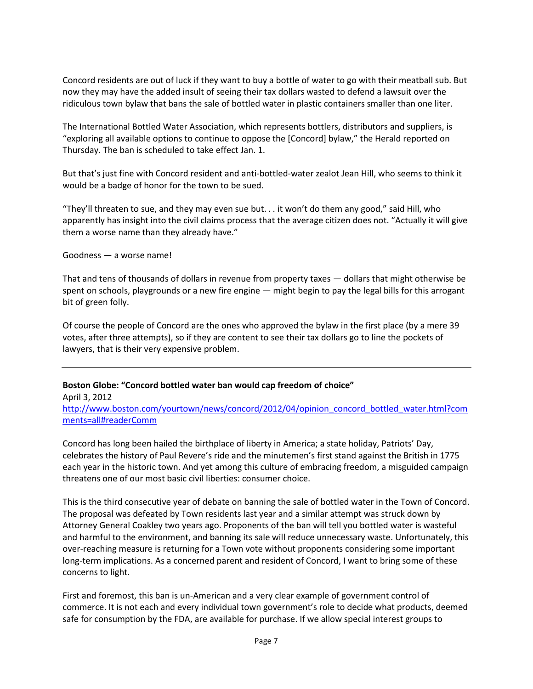Concord residents are out of luck if they want to buy a bottle of water to go with their meatball sub. But now they may have the added insult of seeing their tax dollars wasted to defend a lawsuit over the ridiculous town bylaw that bans the sale of bottled water in plastic containers smaller than one liter.

The International Bottled Water Association, which represents bottlers, distributors and suppliers, is "exploring all available options to continue to oppose the [Concord] bylaw," the Herald reported on Thursday. The ban is scheduled to take effect Jan. 1.

But that's just fine with Concord resident and anti-bottled-water zealot Jean Hill, who seems to think it would be a badge of honor for the town to be sued.

"They'll threaten to sue, and they may even sue but. . . it won't do them any good," said Hill, who apparently has insight into the civil claims process that the average citizen does not. "Actually it will give them a worse name than they already have."

#### Goodness — a worse name!

That and tens of thousands of dollars in revenue from property taxes — dollars that might otherwise be spent on schools, playgrounds or a new fire engine — might begin to pay the legal bills for this arrogant bit of green folly.

Of course the people of Concord are the ones who approved the bylaw in the first place (by a mere 39 votes, after three attempts), so if they are content to see their tax dollars go to line the pockets of lawyers, that is their very expensive problem.

#### **Boston Globe: "Concord bottled water ban would cap freedom of choice"**

April 3, 2012 [http://www.boston.com/yourtown/news/concord/2012/04/opinion\\_concord\\_bottled\\_water.html?com](http://www.boston.com/yourtown/news/concord/2012/04/opinion_concord_bottled_water.html?comments=all#readerComm) [ments=all#readerComm](http://www.boston.com/yourtown/news/concord/2012/04/opinion_concord_bottled_water.html?comments=all#readerComm)

Concord has long been hailed the birthplace of liberty in America; a state holiday, Patriots' Day, celebrates the history of Paul Revere's ride and the minutemen's first stand against the British in 1775 each year in the historic town. And yet among this culture of embracing freedom, a misguided campaign threatens one of our most basic civil liberties: consumer choice.

This is the third consecutive year of debate on banning the sale of bottled water in the Town of Concord. The proposal was defeated by Town residents last year and a similar attempt was struck down by Attorney General Coakley two years ago. Proponents of the ban will tell you bottled water is wasteful and harmful to the environment, and banning its sale will reduce unnecessary waste. Unfortunately, this over-reaching measure is returning for a Town vote without proponents considering some important long-term implications. As a concerned parent and resident of Concord, I want to bring some of these concerns to light.

First and foremost, this ban is un-American and a very clear example of government control of commerce. It is not each and every individual town government's role to decide what products, deemed safe for consumption by the FDA, are available for purchase. If we allow special interest groups to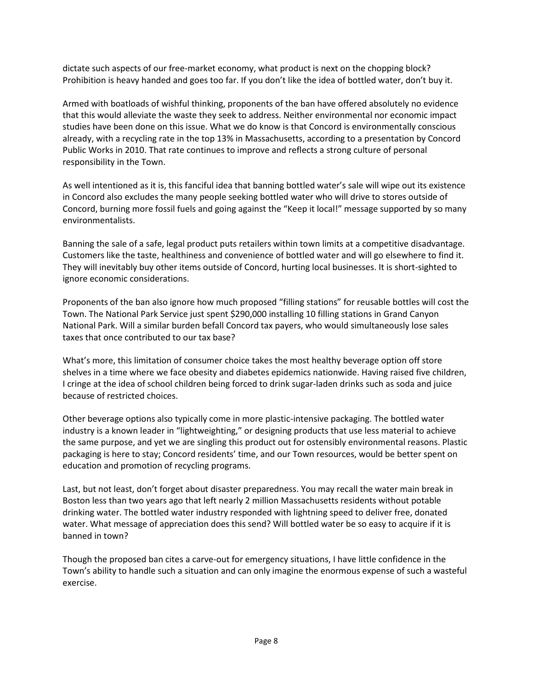dictate such aspects of our free-market economy, what product is next on the chopping block? Prohibition is heavy handed and goes too far. If you don't like the idea of bottled water, don't buy it.

Armed with boatloads of wishful thinking, proponents of the ban have offered absolutely no evidence that this would alleviate the waste they seek to address. Neither environmental nor economic impact studies have been done on this issue. What we do know is that Concord is environmentally conscious already, with a recycling rate in the top 13% in Massachusetts, according to a presentation by Concord Public Works in 2010. That rate continues to improve and reflects a strong culture of personal responsibility in the Town.

As well intentioned as it is, this fanciful idea that banning bottled water's sale will wipe out its existence in Concord also excludes the many people seeking bottled water who will drive to stores outside of Concord, burning more fossil fuels and going against the "Keep it local!" message supported by so many environmentalists.

Banning the sale of a safe, legal product puts retailers within town limits at a competitive disadvantage. Customers like the taste, healthiness and convenience of bottled water and will go elsewhere to find it. They will inevitably buy other items outside of Concord, hurting local businesses. It is short-sighted to ignore economic considerations.

Proponents of the ban also ignore how much proposed "filling stations" for reusable bottles will cost the Town. The National Park Service just spent \$290,000 installing 10 filling stations in Grand Canyon National Park. Will a similar burden befall Concord tax payers, who would simultaneously lose sales taxes that once contributed to our tax base?

What's more, this limitation of consumer choice takes the most healthy beverage option off store shelves in a time where we face obesity and diabetes epidemics nationwide. Having raised five children, I cringe at the idea of school children being forced to drink sugar-laden drinks such as soda and juice because of restricted choices.

Other beverage options also typically come in more plastic-intensive packaging. The bottled water industry is a known leader in "lightweighting," or designing products that use less material to achieve the same purpose, and yet we are singling this product out for ostensibly environmental reasons. Plastic packaging is here to stay; Concord residents' time, and our Town resources, would be better spent on education and promotion of recycling programs.

Last, but not least, don't forget about disaster preparedness. You may recall the water main break in Boston less than two years ago that left nearly 2 million Massachusetts residents without potable drinking water. The bottled water industry responded with lightning speed to deliver free, donated water. What message of appreciation does this send? Will bottled water be so easy to acquire if it is banned in town?

Though the proposed ban cites a carve-out for emergency situations, I have little confidence in the Town's ability to handle such a situation and can only imagine the enormous expense of such a wasteful exercise.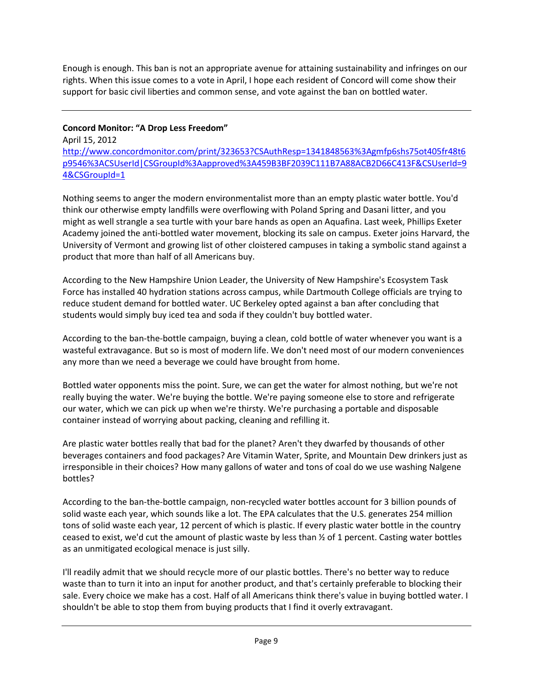Enough is enough. This ban is not an appropriate avenue for attaining sustainability and infringes on our rights. When this issue comes to a vote in April, I hope each resident of Concord will come show their support for basic civil liberties and common sense, and vote against the ban on bottled water.

## **Concord Monitor: "A Drop Less Freedom"**

April 15, 2012 [http://www.concordmonitor.com/print/323653?CSAuthResp=1341848563%3Agmfp6shs75ot405fr48t6](http://www.concordmonitor.com/print/323653?CSAuthResp=1341848563%3Agmfp6shs75ot405fr48t6p9546%3ACSUserId|CSGroupId%3Aapproved%3A459B3BF2039C111B7A88ACB2D66C413F&CSUserId=94&CSGroupId=1) [p9546%3ACSUserId|CSGroupId%3Aapproved%3A459B3BF2039C111B7A88ACB2D66C413F&CSUserId=9](http://www.concordmonitor.com/print/323653?CSAuthResp=1341848563%3Agmfp6shs75ot405fr48t6p9546%3ACSUserId|CSGroupId%3Aapproved%3A459B3BF2039C111B7A88ACB2D66C413F&CSUserId=94&CSGroupId=1) [4&CSGroupId=1](http://www.concordmonitor.com/print/323653?CSAuthResp=1341848563%3Agmfp6shs75ot405fr48t6p9546%3ACSUserId|CSGroupId%3Aapproved%3A459B3BF2039C111B7A88ACB2D66C413F&CSUserId=94&CSGroupId=1)

Nothing seems to anger the modern environmentalist more than an empty plastic water bottle. You'd think our otherwise empty landfills were overflowing with Poland Spring and Dasani litter, and you might as well strangle a sea turtle with your bare hands as open an Aquafina. Last week, Phillips Exeter Academy joined the anti-bottled water movement, blocking its sale on campus. Exeter joins Harvard, the University of Vermont and growing list of other cloistered campuses in taking a symbolic stand against a product that more than half of all Americans buy.

According to the New Hampshire Union Leader, the University of New Hampshire's Ecosystem Task Force has installed 40 hydration stations across campus, while Dartmouth College officials are trying to reduce student demand for bottled water. UC Berkeley opted against a ban after concluding that students would simply buy iced tea and soda if they couldn't buy bottled water.

According to the ban-the-bottle campaign, buying a clean, cold bottle of water whenever you want is a wasteful extravagance. But so is most of modern life. We don't need most of our modern conveniences any more than we need a beverage we could have brought from home.

Bottled water opponents miss the point. Sure, we can get the water for almost nothing, but we're not really buying the water. We're buying the bottle. We're paying someone else to store and refrigerate our water, which we can pick up when we're thirsty. We're purchasing a portable and disposable container instead of worrying about packing, cleaning and refilling it.

Are plastic water bottles really that bad for the planet? Aren't they dwarfed by thousands of other beverages containers and food packages? Are Vitamin Water, Sprite, and Mountain Dew drinkers just as irresponsible in their choices? How many gallons of water and tons of coal do we use washing Nalgene bottles?

According to the ban-the-bottle campaign, non-recycled water bottles account for 3 billion pounds of solid waste each year, which sounds like a lot. The EPA calculates that the U.S. generates 254 million tons of solid waste each year, 12 percent of which is plastic. If every plastic water bottle in the country ceased to exist, we'd cut the amount of plastic waste by less than  $\frac{1}{2}$  of 1 percent. Casting water bottles as an unmitigated ecological menace is just silly.

I'll readily admit that we should recycle more of our plastic bottles. There's no better way to reduce waste than to turn it into an input for another product, and that's certainly preferable to blocking their sale. Every choice we make has a cost. Half of all Americans think there's value in buying bottled water. I shouldn't be able to stop them from buying products that I find it overly extravagant.